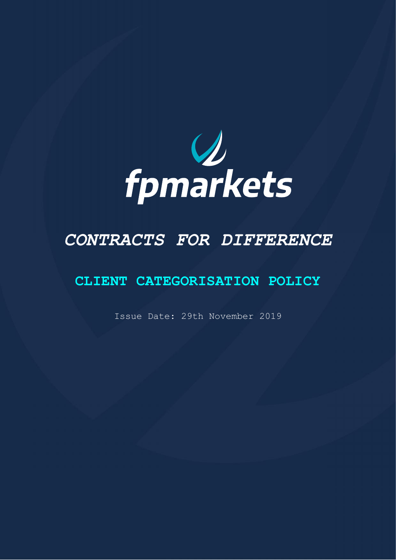

# *CONTRACTS FOR DIFFERENCE*

# **CLIENT CATEGORISATION POLICY**

Issue Date: 29th November 2019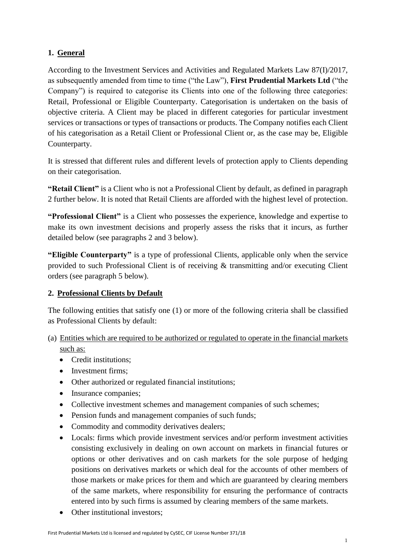# **1. General**

According to the Investment Services and Activities and Regulated Markets Law 87(I)/2017, as subsequently amended from time to time ("the Law"), **First Prudential Markets Ltd** ("the Company") is required to categorise its Clients into one of the following three categories: Retail, Professional or Eligible Counterparty. Categorisation is undertaken on the basis of objective criteria. A Client may be placed in different categories for particular investment services or transactions or types of transactions or products. The Company notifies each Client of his categorisation as a Retail Client or Professional Client or, as the case may be, Eligible Counterparty.

It is stressed that different rules and different levels of protection apply to Clients depending on their categorisation.

**"Retail Client"** is a Client who is not a Professional Client by default, as defined in paragraph 2 further below. It is noted that Retail Clients are afforded with the highest level of protection.

**"Professional Client"** is a Client who possesses the experience, knowledge and expertise to make its own investment decisions and properly assess the risks that it incurs, as further detailed below (see paragraphs 2 and 3 below).

**"Eligible Counterparty"** is a type of professional Clients, applicable only when the service provided to such Professional Client is of receiving & transmitting and/or executing Client orders (see paragraph 5 below).

## **2. Professional Clients by Default**

The following entities that satisfy one (1) or more of the following criteria shall be classified as Professional Clients by default:

- (a) Entities which are required to be authorized or regulated to operate in the financial markets such as:
	- Credit institutions:
	- Investment firms:
	- Other authorized or regulated financial institutions;
	- Insurance companies;
	- Collective investment schemes and management companies of such schemes:
	- Pension funds and management companies of such funds;
	- Commodity and commodity derivatives dealers;
	- Locals: firms which provide investment services and/or perform investment activities consisting exclusively in dealing on own account on markets in financial futures or options or other derivatives and on cash markets for the sole purpose of hedging positions on derivatives markets or which deal for the accounts of other members of those markets or make prices for them and which are guaranteed by clearing members of the same markets, where responsibility for ensuring the performance of contracts entered into by such firms is assumed by clearing members of the same markets.
	- Other institutional investors;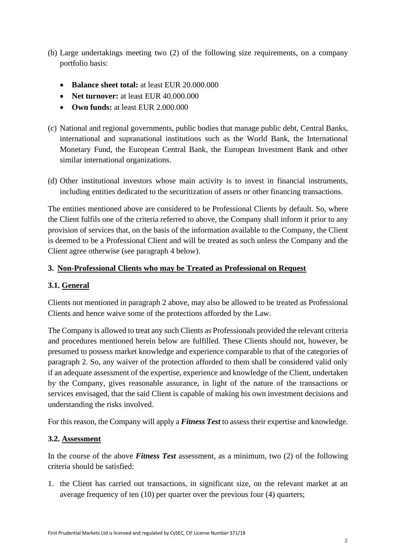- (b) Large undertakings meeting two (2) of the following size requirements, on a company portfolio basis:
	- **Balance sheet total:** at least EUR 20.000.000
	- **Net turnover:** at least EUR 40.000.000
	- **Own funds:** at least EUR 2.000.000
- (c) National and regional governments, public bodies that manage public debt, Central Banks, international and supranational institutions such as the World Bank, the International Monetary Fund, the European Central Bank, the European Investment Bank and other similar international organizations.
- (d) Other institutional investors whose main activity is to invest in financial instruments, including entities dedicated to the securitization of assets or other financing transactions.

The entities mentioned above are considered to be Professional Clients by default. So, where the Client fulfils one of the criteria referred to above, the Company shall inform it prior to any provision of services that, on the basis of the information available to the Company, the Client is deemed to be a Professional Client and will be treated as such unless the Company and the Client agree otherwise (see paragraph 4 below).

#### **3. Non-Professional Clients who may be Treated as Professional on Request**

#### **3.1. General**

Clients not mentioned in paragraph 2 above, may also be allowed to be treated as Professional Clients and hence waive some of the protections afforded by the Law.

The Company is allowed to treat any such Clients as Professionals provided the relevant criteria and procedures mentioned herein below are fulfilled. These Clients should not, however, be presumed to possess market knowledge and experience comparable to that of the categories of paragraph 2. So, any waiver of the protection afforded to them shall be considered valid only if an adequate assessment of the expertise, experience and knowledge of the Client, undertaken by the Company, gives reasonable assurance, in light of the nature of the transactions or services envisaged, that the said Client is capable of making his own investment decisions and understanding the risks involved.

For this reason, the Company will apply a *Fitness Test* to assess their expertise and knowledge.

#### **3.2. Assessment**

In the course of the above *Fitness Test* assessment, as a minimum, two (2) of the following criteria should be satisfied:

1. the Client has carried out transactions, in significant size, on the relevant market at an average frequency of ten (10) per quarter over the previous four (4) quarters;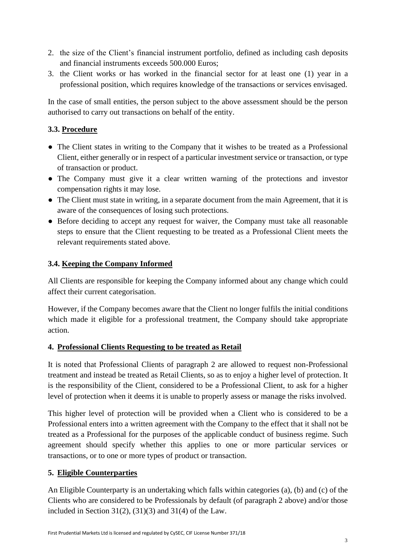- 2. the size of the Client's financial instrument portfolio, defined as including cash deposits and financial instruments exceeds 500.000 Euros;
- 3. the Client works or has worked in the financial sector for at least one (1) year in a professional position, which requires knowledge of the transactions or services envisaged.

In the case of small entities, the person subject to the above assessment should be the person authorised to carry out transactions on behalf of the entity.

#### **3.3. Procedure**

- The Client states in writing to the Company that it wishes to be treated as a Professional Client, either generally or in respect of a particular investment service or transaction, or type of transaction or product.
- The Company must give it a clear written warning of the protections and investor compensation rights it may lose.
- The Client must state in writing, in a separate document from the main Agreement, that it is aware of the consequences of losing such protections.
- Before deciding to accept any request for waiver, the Company must take all reasonable steps to ensure that the Client requesting to be treated as a Professional Client meets the relevant requirements stated above.

#### **3.4. Keeping the Company Informed**

All Clients are responsible for keeping the Company informed about any change which could affect their current categorisation.

However, if the Company becomes aware that the Client no longer fulfils the initial conditions which made it eligible for a professional treatment, the Company should take appropriate action.

#### **4. Professional Clients Requesting to be treated as Retail**

It is noted that Professional Clients of paragraph 2 are allowed to request non-Professional treatment and instead be treated as Retail Clients, so as to enjoy a higher level of protection. It is the responsibility of the Client, considered to be a Professional Client, to ask for a higher level of protection when it deems it is unable to properly assess or manage the risks involved.

This higher level of protection will be provided when a Client who is considered to be a Professional enters into a written agreement with the Company to the effect that it shall not be treated as a Professional for the purposes of the applicable conduct of business regime. Such agreement should specify whether this applies to one or more particular services or transactions, or to one or more types of product or transaction.

## **5. Eligible Counterparties**

An Eligible Counterparty is an undertaking which falls within categories (a), (b) and (c) of the Clients who are considered to be Professionals by default (of paragraph 2 above) and/or those included in Section 31(2),  $(31)(3)$  and 31(4) of the Law.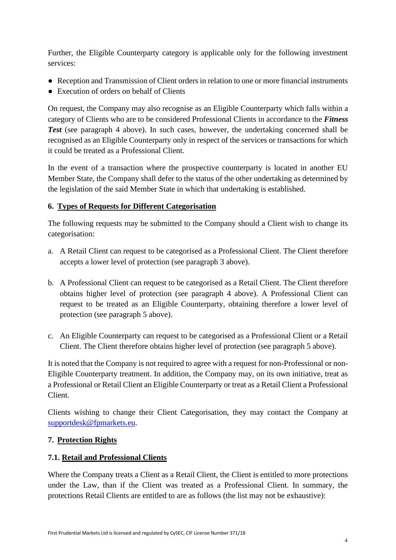Further, the Eligible Counterparty category is applicable only for the following investment services:

- Reception and Transmission of Client orders in relation to one or more financial instruments
- Execution of orders on behalf of Clients

On request, the Company may also recognise as an Eligible Counterparty which falls within a category of Clients who are to be considered Professional Clients in accordance to the *Fitness Test* (see paragraph 4 above). In such cases, however, the undertaking concerned shall be recognised as an Eligible Counterparty only in respect of the services or transactions for which it could be treated as a Professional Client.

In the event of a transaction where the prospective counterparty is located in another EU Member State, the Company shall defer to the status of the other undertaking as determined by the legislation of the said Member State in which that undertaking is established.

#### **6. Types of Requests for Different Categorisation**

The following requests may be submitted to the Company should a Client wish to change its categorisation:

- a. A Retail Client can request to be categorised as a Professional Client. The Client therefore accepts a lower level of protection (see paragraph 3 above).
- b. A Professional Client can request to be categorised as a Retail Client. The Client therefore obtains higher level of protection (see paragraph 4 above). A Professional Client can request to be treated as an Eligible Counterparty, obtaining therefore a lower level of protection (see paragraph 5 above).
- c. An Eligible Counterparty can request to be categorised as a Professional Client or a Retail Client. The Client therefore obtains higher level of protection (see paragraph 5 above).

It is noted that the Company is not required to agree with a request for non-Professional or non-Eligible Counterparty treatment. In addition, the Company may, on its own initiative, treat as a Professional or Retail Client an Eligible Counterparty or treat as a Retail Client a Professional Client.

Clients wishing to change their Client Categorisation, they may contact the Company at [supportdesk@fpmarkets.eu.](mailto:supportdesk@fpmarkets.eu)

#### **7. Protection Rights**

#### **7.1. Retail and Professional Clients**

Where the Company treats a Client as a Retail Client, the Client is entitled to more protections under the Law, than if the Client was treated as a Professional Client. In summary, the protections Retail Clients are entitled to are as follows (the list may not be exhaustive):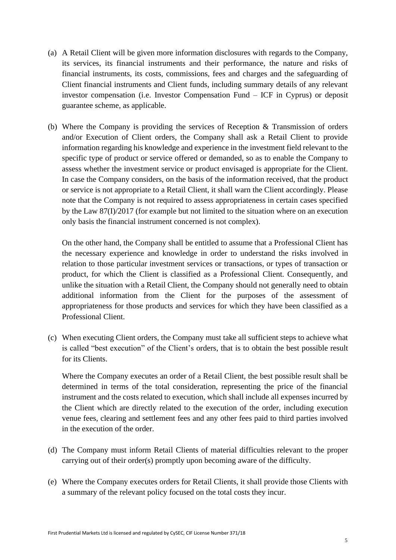- (a) A Retail Client will be given more information disclosures with regards to the Company, its services, its financial instruments and their performance, the nature and risks of financial instruments, its costs, commissions, fees and charges and the safeguarding of Client financial instruments and Client funds, including summary details of any relevant investor compensation (i.e. Investor Compensation Fund – ICF in Cyprus) or deposit guarantee scheme, as applicable.
- (b) Where the Company is providing the services of Reception & Transmission of orders and/or Execution of Client orders, the Company shall ask a Retail Client to provide information regarding his knowledge and experience in the investment field relevant to the specific type of product or service offered or demanded, so as to enable the Company to assess whether the investment service or product envisaged is appropriate for the Client. In case the Company considers, on the basis of the information received, that the product or service is not appropriate to a Retail Client, it shall warn the Client accordingly. Please note that the Company is not required to assess appropriateness in certain cases specified by the Law 87(I)/2017 (for example but not limited to the situation where on an execution only basis the financial instrument concerned is not complex).

On the other hand, the Company shall be entitled to assume that a Professional Client has the necessary experience and knowledge in order to understand the risks involved in relation to those particular investment services or transactions, or types of transaction or product, for which the Client is classified as a Professional Client. Consequently, and unlike the situation with a Retail Client, the Company should not generally need to obtain additional information from the Client for the purposes of the assessment of appropriateness for those products and services for which they have been classified as a Professional Client.

(c) When executing Client orders, the Company must take all sufficient steps to achieve what is called "best execution" of the Client's orders, that is to obtain the best possible result for its Clients.

Where the Company executes an order of a Retail Client, the best possible result shall be determined in terms of the total consideration, representing the price of the financial instrument and the costs related to execution, which shall include all expenses incurred by the Client which are directly related to the execution of the order, including execution venue fees, clearing and settlement fees and any other fees paid to third parties involved in the execution of the order.

- (d) The Company must inform Retail Clients of material difficulties relevant to the proper carrying out of their order(s) promptly upon becoming aware of the difficulty.
- (e) Where the Company executes orders for Retail Clients, it shall provide those Clients with a summary of the relevant policy focused on the total costs they incur.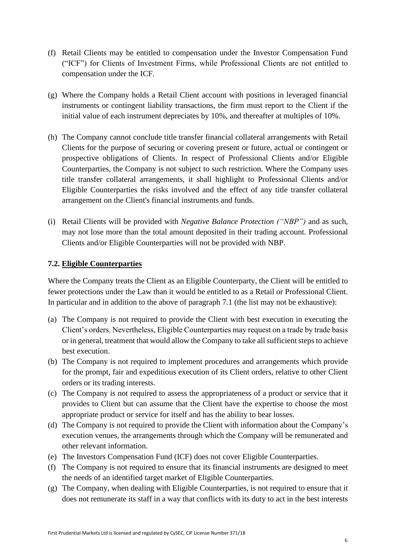- (f) Retail Clients may be entitled to compensation under the Investor Compensation Fund ("ICF") for Clients of Investment Firms, while Professional Clients are not entitled to compensation under the ICF.
- (g) Where the Company holds a Retail Client account with positions in leveraged financial instruments or contingent liability transactions, the firm must report to the Client if the initial value of each instrument depreciates by 10%, and thereafter at multiples of 10%.
- (h) The Company cannot conclude title transfer financial collateral arrangements with Retail Clients for the purpose of securing or covering present or future, actual or contingent or prospective obligations of Clients. In respect of Professional Clients and/or Eligible Counterparties, the Company is not subject to such restriction. Where the Company uses title transfer collateral arrangements, it shall highlight to Professional Clients and/or Eligible Counterparties the risks involved and the effect of any title transfer collateral arrangement on the Client's financial instruments and funds.
- (i) Retail Clients will be provided with *Negative Balance Protection ("NBP")* and as such, may not lose more than the total amount deposited in their trading account. Professional Clients and/or Eligible Counterparties will not be provided with NBP.

#### **7.2. Eligible Counterparties**

Where the Company treats the Client as an Eligible Counterparty, the Client will be entitled to fewer protections under the Law than it would be entitled to as a Retail or Professional Client. In particular and in addition to the above of paragraph 7.1 (the list may not be exhaustive):

- (a) The Company is not required to provide the Client with best execution in executing the Client's orders. Nevertheless, Eligible Counterparties may request on a trade by trade basis or in general, treatment that would allow the Company to take all sufficient steps to achieve best execution.
- (b) The Company is not required to implement procedures and arrangements which provide for the prompt, fair and expeditious execution of its Client orders, relative to other Client orders or its trading interests.
- (c) The Company is not required to assess the appropriateness of a product or service that it provides to Client but can assume that the Client have the expertise to choose the most appropriate product or service for itself and has the ability to bear losses.
- (d) The Company is not required to provide the Client with information about the Company's execution venues, the arrangements through which the Company will be remunerated and other relevant information.
- (e) The Investors Compensation Fund (ICF) does not cover Eligible Counterparties.
- (f) The Company is not required to ensure that its financial instruments are designed to meet the needs of an identified target market of Eligible Counterparties.
- (g) The Company, when dealing with Eligible Counterparties, is not required to ensure that it does not remunerate its staff in a way that conflicts with its duty to act in the best interests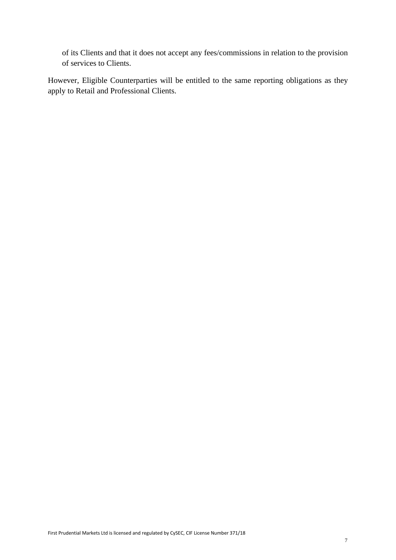of its Clients and that it does not accept any fees/commissions in relation to the provision of services to Clients.

However, Eligible Counterparties will be entitled to the same reporting obligations as they apply to Retail and Professional Clients.